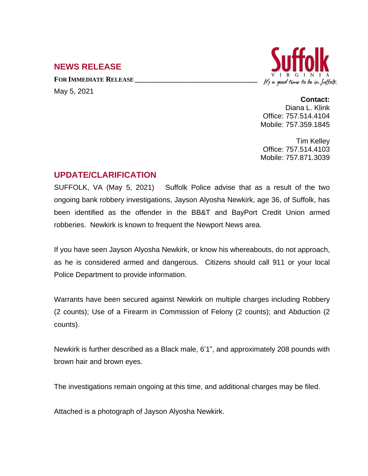## **NEWS RELEASE**

**FOR IMMEDIATE RELEASE \_\_\_\_\_\_\_\_\_\_\_\_\_\_\_\_\_\_\_\_\_\_\_\_\_\_\_\_\_\_\_\_\_\_** May 5, 2021



## **Contact:**

Diana L. Klink Office: 757.514.4104 Mobile: 757.359.1845

Tim Kelley Office: 757.514.4103 Mobile: 757.871.3039

## **UPDATE/CLARIFICATION**

SUFFOLK, VA (May 5, 2021) Suffolk Police advise that as a result of the two ongoing bank robbery investigations, Jayson Alyosha Newkirk, age 36, of Suffolk, has been identified as the offender in the BB&T and BayPort Credit Union armed robberies. Newkirk is known to frequent the Newport News area.

If you have seen Jayson Alyosha Newkirk, or know his whereabouts, do not approach, as he is considered armed and dangerous. Citizens should call 911 or your local Police Department to provide information.

Warrants have been secured against Newkirk on multiple charges including Robbery (2 counts); Use of a Firearm in Commission of Felony (2 counts); and Abduction (2 counts).

Newkirk is further described as a Black male, 6'1", and approximately 208 pounds with brown hair and brown eyes.

The investigations remain ongoing at this time, and additional charges may be filed.

Attached is a photograph of Jayson Alyosha Newkirk.